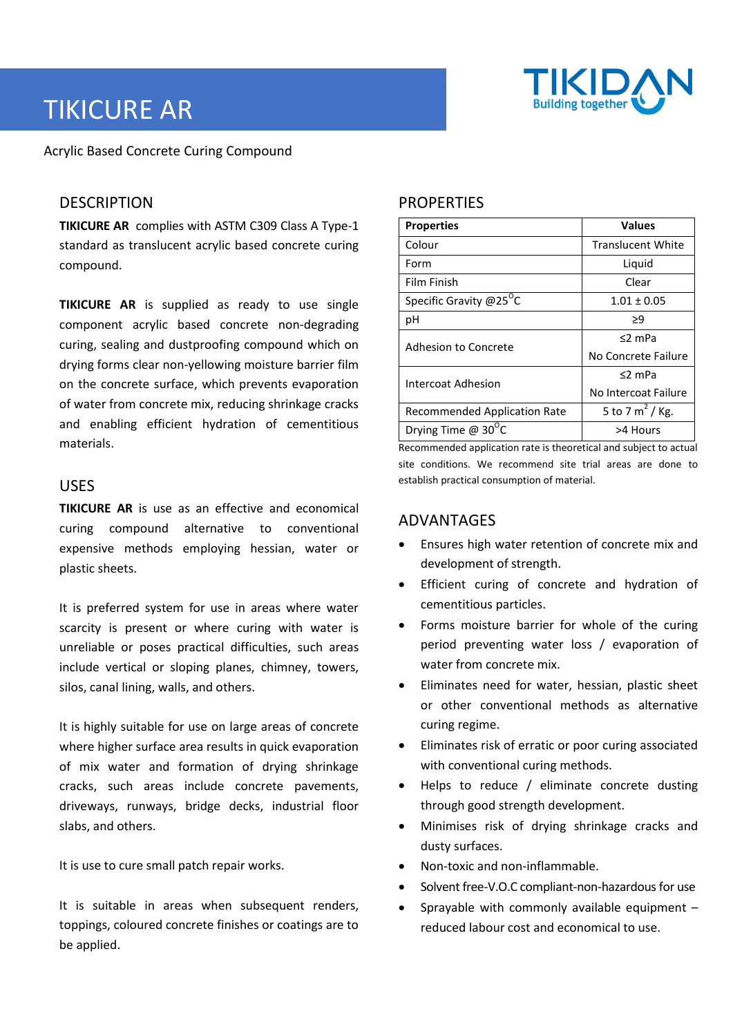

# TIKICURE AR

Acrylic Based Concrete Curing Compound

# **DESCRIPTION**

**TIKICURE AR** complies with ASTM C309 Class A Type-1 standard as translucent acrylic based concrete curing compound.

**TIKICURE AR** is supplied as ready to use single component acrylic based concrete non-degrading curing, sealing and dustproofing compound which on drying forms clear non-yellowing moisture barrier film on the concrete surface, which prevents evaporation of water from concrete mix, reducing shrinkage cracks and enabling efficient hydration of cementitious materials.

### USES

**TIKICURE AR** is use as an effective and economical curing compound alternative to conventional expensive methods employing hessian, water or plastic sheets.

It is preferred system for use in areas where water scarcity is present or where curing with water is unreliable or poses practical difficulties, such areas include vertical or sloping planes, chimney, towers, silos, canal lining, walls, and others.

It is highly suitable for use on large areas of concrete where higher surface area results in quick evaporation of mix water and formation of drying shrinkage cracks, such areas include concrete pavements, driveways, runways, bridge decks, industrial floor slabs, and others.

It is use to cure small patch repair works.

It is suitable in areas when subsequent renders, toppings, coloured concrete finishes or coatings are to be applied.

# **PROPERTIES**

| <b>Properties</b>                   | <b>Values</b>            |
|-------------------------------------|--------------------------|
| Colour                              | <b>Translucent White</b> |
| Form                                | Liquid                   |
| Film Finish                         | Clear                    |
| Specific Gravity @25 $^0$ C         | $1.01 \pm 0.05$          |
| рH                                  | ≥9                       |
| Adhesion to Concrete                | $<$ 2 mPa                |
|                                     | No Concrete Failure      |
| Intercoat Adhesion                  | $<$ 2 mPa                |
|                                     | No Intercoat Failure     |
| <b>Recommended Application Rate</b> | 5 to 7 $m^2$ / Kg.       |
| Drying Time @ $30^{\circ}$ C        | >4 Hours                 |

Recommended application rate is theoretical and subject to actual site conditions. We recommend site trial areas are done to establish practical consumption of material.

# ADVANTAGES

- Ensures high water retention of concrete mix and development of strength.
- Efficient curing of concrete and hydration of cementitious particles.
- Forms moisture barrier for whole of the curing period preventing water loss / evaporation of water from concrete mix.
- Eliminates need for water, hessian, plastic sheet or other conventional methods as alternative curing regime.
- Eliminates risk of erratic or poor curing associated with conventional curing methods.
- Helps to reduce / eliminate concrete dusting through good strength development.
- Minimises risk of drying shrinkage cracks and dusty surfaces.
- Non-toxic and non-inflammable.
- Solvent free-V.O.C compliant-non-hazardous for use
- Sprayable with commonly available equipment reduced labour cost and economical to use.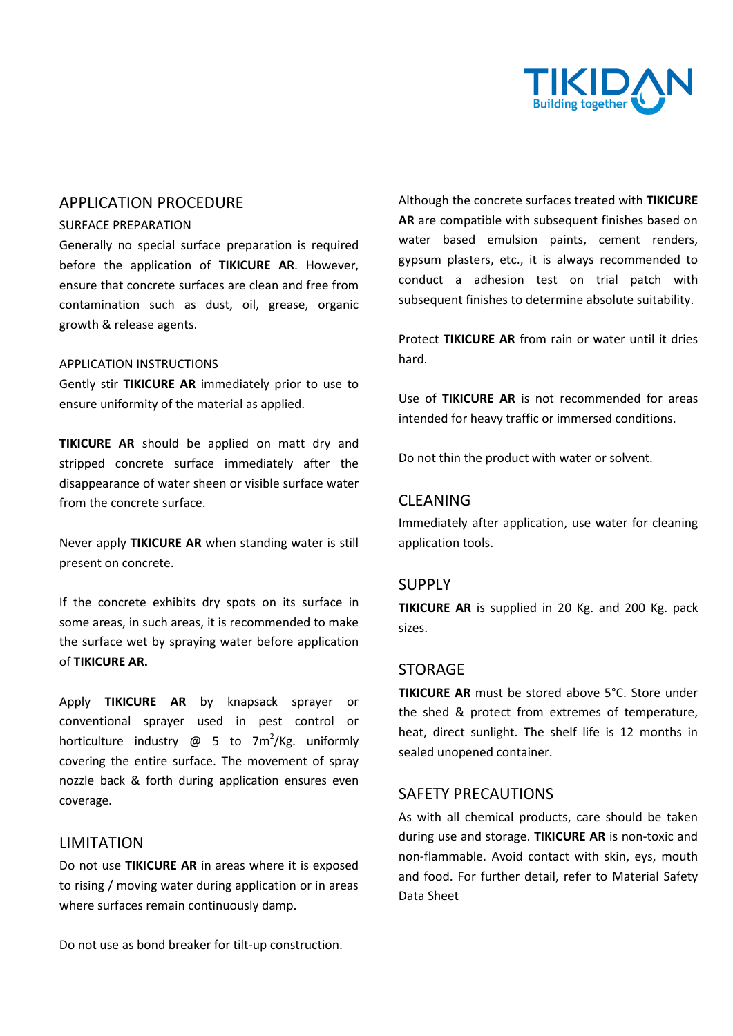

## APPLICATION PROCEDURE

#### SURFACE PREPARATION

Generally no special surface preparation is required before the application of **TIKICURE AR**. However, ensure that concrete surfaces are clean and free from contamination such as dust, oil, grease, organic growth & release agents.

#### APPLICATION INSTRUCTIONS

Gently stir **TIKICURE AR** immediately prior to use to ensure uniformity of the material as applied.

**TIKICURE AR** should be applied on matt dry and stripped concrete surface immediately after the disappearance of water sheen or visible surface water from the concrete surface.

Never apply **TIKICURE AR** when standing water is still present on concrete.

If the concrete exhibits dry spots on its surface in some areas, in such areas, it is recommended to make the surface wet by spraying water before application of **TIKICURE AR.**

Apply **TIKICURE AR** by knapsack sprayer or conventional sprayer used in pest control or horticulture industry  $\omega$  5 to 7m<sup>2</sup>/Kg. uniformly covering the entire surface. The movement of spray nozzle back & forth during application ensures even coverage.

#### LIMITATION

Do not use **TIKICURE AR** in areas where it is exposed to rising / moving water during application or in areas where surfaces remain continuously damp.

Do not use as bond breaker for tilt-up construction.

Although the concrete surfaces treated with **TIKICURE AR** are compatible with subsequent finishes based on water based emulsion paints, cement renders, gypsum plasters, etc., it is always recommended to conduct a adhesion test on trial patch with subsequent finishes to determine absolute suitability.

Protect **TIKICURE AR** from rain or water until it dries hard.

Use of **TIKICURE AR** is not recommended for areas intended for heavy traffic or immersed conditions.

Do not thin the product with water or solvent.

#### CLEANING

Immediately after application, use water for cleaning application tools.

#### SUPPLY

**TIKICURE AR** is supplied in 20 Kg. and 200 Kg. pack sizes.

#### **STORAGE**

**TIKICURE AR** must be stored above 5°C. Store under the shed & protect from extremes of temperature, heat, direct sunlight. The shelf life is 12 months in sealed unopened container.

#### SAFETY PRECAUTIONS

As with all chemical products, care should be taken during use and storage. **TIKICURE AR** is non-toxic and non-flammable. Avoid contact with skin, eys, mouth and food. For further detail, refer to Material Safety Data Sheet